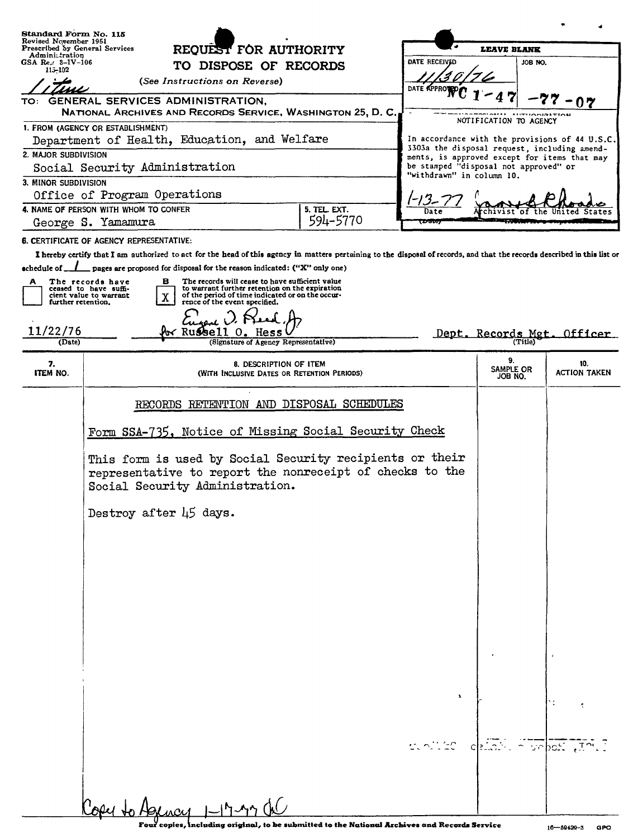| Standard Form No. 115<br>Revised November 1951              |                                                                                                                                                                                                                                                                |                                              |                          |                                                                    |                            |                                                |
|-------------------------------------------------------------|----------------------------------------------------------------------------------------------------------------------------------------------------------------------------------------------------------------------------------------------------------------|----------------------------------------------|--------------------------|--------------------------------------------------------------------|----------------------------|------------------------------------------------|
| Prescribed by General Services<br>Adminitration             | REQUEST FOR AUTHORITY                                                                                                                                                                                                                                          |                                              |                          | <b>LEAVE BLANK</b>                                                 |                            |                                                |
| GSA $\text{Re } x$ 3-IV-106<br>115-102                      |                                                                                                                                                                                                                                                                | TO DISPOSE OF RECORDS                        |                          | <b>DATE RECEIVED</b>                                               | JOB NO.                    |                                                |
| (See Instructions on Reverse)                               |                                                                                                                                                                                                                                                                |                                              | DATE APPROVED            |                                                                    |                            |                                                |
| GENERAL SERVICES ADMINISTRATION.<br>TO:                     |                                                                                                                                                                                                                                                                |                                              |                          |                                                                    |                            | 07                                             |
| NATIONAL ARCHIVES AND RECORDS SERVICE, WASHINGTON 25, D. C. |                                                                                                                                                                                                                                                                |                                              |                          |                                                                    | <b>AUTUODINATION</b>       |                                                |
| 1. FROM (AGENCY OR ESTABLISHMENT)                           |                                                                                                                                                                                                                                                                |                                              |                          |                                                                    | NOTIFICATION TO AGENCY     |                                                |
| Department of Health, Education, and Welfare                |                                                                                                                                                                                                                                                                |                                              |                          | 3303a the disposal request, including amend-                       |                            | In accordance with the provisions of 44 U.S.C. |
| 2. MAJOR SUBDIVISION                                        |                                                                                                                                                                                                                                                                |                                              |                          | ments, is approved except for items that may                       |                            |                                                |
| Social Security Administration                              |                                                                                                                                                                                                                                                                |                                              |                          | be stamped "disposal not approved" or<br>"withdrawn" in column 10. |                            |                                                |
| 3. MINOR SUBDIVISION                                        |                                                                                                                                                                                                                                                                |                                              |                          |                                                                    |                            |                                                |
| Office of Program Operations                                |                                                                                                                                                                                                                                                                |                                              |                          |                                                                    |                            |                                                |
| 4. NAME OF PERSON WITH WHOM TO CONFER<br>George S. Yamamura |                                                                                                                                                                                                                                                                |                                              | 5. TEL. EXT.<br>594-5770 | Date<br>1.1.1.1                                                    |                            |                                                |
|                                                             |                                                                                                                                                                                                                                                                |                                              |                          |                                                                    |                            |                                                |
|                                                             | 6. CERTIFICATE OF AGENCY REPRESENTATIVE:                                                                                                                                                                                                                       |                                              |                          |                                                                    |                            |                                                |
| schedule of $\_$ $\_$                                       | I hereby certify that I am authorized to act for the head of this agency in matters pertaining to the disposal of records, and that the records described in this list or<br>$\equiv$ pages are proposed for disposal for the reason indicated: ("X" only one) |                                              |                          |                                                                    |                            |                                                |
| A                                                           | The records have<br>в<br>The records will cease to have sufficient value                                                                                                                                                                                       |                                              |                          |                                                                    |                            |                                                |
|                                                             | to warrant further retention on the expiration<br>ceased to have suffi-<br>of the period of time indicated or on the occur-<br>cient value to warrant<br>X                                                                                                     |                                              |                          |                                                                    |                            |                                                |
| further retention.                                          | rence of the event specified.                                                                                                                                                                                                                                  |                                              |                          |                                                                    |                            |                                                |
|                                                             |                                                                                                                                                                                                                                                                |                                              |                          |                                                                    |                            |                                                |
| 11/22/76<br>(Date)                                          | <b>Av Russell</b>                                                                                                                                                                                                                                              | Hess<br>(Signature of Agency Representative) |                          |                                                                    | Dept. Records Mgt. Officer |                                                |
|                                                             |                                                                                                                                                                                                                                                                |                                              |                          |                                                                    |                            |                                                |
| 7.<br>ITEM NO.                                              | 8. DESCRIPTION OF ITEM<br>(WITH INCLUSIVE DATES OR RETENTION PERIODS)                                                                                                                                                                                          |                                              |                          |                                                                    | 9.<br>SAMPLE OR<br>JOB NO. | 10.<br>ACTION TAKEN                            |
|                                                             | RECORDS RETENTION AND DISPOSAL SCHEDULES                                                                                                                                                                                                                       |                                              |                          |                                                                    |                            |                                                |
|                                                             | Form SSA-735, Notice of Missing Social Security Check                                                                                                                                                                                                          |                                              |                          |                                                                    |                            |                                                |
|                                                             | This form is used by Social Security recipients or their<br>representative to report the nonreceipt of checks to the<br>Social Security Administration.                                                                                                        |                                              |                          |                                                                    |                            |                                                |
|                                                             | Destroy after 45 days.                                                                                                                                                                                                                                         |                                              |                          |                                                                    |                            |                                                |
|                                                             |                                                                                                                                                                                                                                                                |                                              |                          |                                                                    |                            |                                                |
|                                                             |                                                                                                                                                                                                                                                                |                                              |                          |                                                                    |                            |                                                |
|                                                             |                                                                                                                                                                                                                                                                |                                              |                          |                                                                    |                            |                                                |
|                                                             |                                                                                                                                                                                                                                                                |                                              |                          |                                                                    |                            |                                                |
|                                                             |                                                                                                                                                                                                                                                                |                                              |                          |                                                                    |                            |                                                |
|                                                             |                                                                                                                                                                                                                                                                |                                              |                          |                                                                    |                            |                                                |
|                                                             |                                                                                                                                                                                                                                                                |                                              |                          |                                                                    |                            |                                                |
|                                                             |                                                                                                                                                                                                                                                                |                                              |                          |                                                                    |                            |                                                |
|                                                             |                                                                                                                                                                                                                                                                |                                              |                          |                                                                    |                            |                                                |
|                                                             |                                                                                                                                                                                                                                                                |                                              |                          |                                                                    |                            |                                                |
|                                                             |                                                                                                                                                                                                                                                                |                                              |                          |                                                                    |                            |                                                |
|                                                             |                                                                                                                                                                                                                                                                |                                              |                          |                                                                    |                            |                                                |
|                                                             |                                                                                                                                                                                                                                                                |                                              |                          |                                                                    |                            |                                                |
|                                                             |                                                                                                                                                                                                                                                                |                                              |                          |                                                                    |                            |                                                |
|                                                             |                                                                                                                                                                                                                                                                |                                              |                          | stolies childi a pobos tratt                                       |                            |                                                |
|                                                             |                                                                                                                                                                                                                                                                |                                              |                          |                                                                    |                            |                                                |
|                                                             |                                                                                                                                                                                                                                                                |                                              |                          |                                                                    |                            |                                                |
|                                                             |                                                                                                                                                                                                                                                                |                                              |                          |                                                                    |                            |                                                |
|                                                             | $0$ and to Asman $1$ -17-17 de                                                                                                                                                                                                                                 |                                              |                          |                                                                    |                            |                                                |